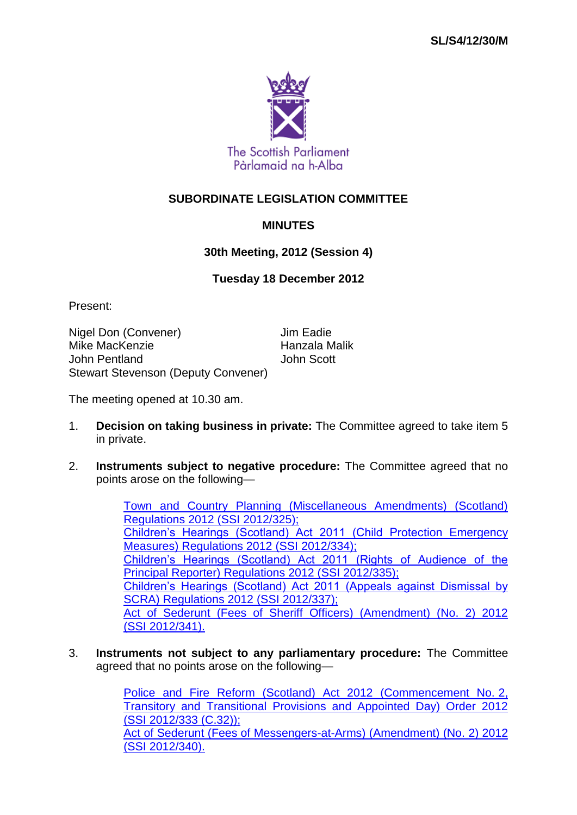

## **SUBORDINATE LEGISLATION COMMITTEE**

## **MINUTES**

## **30th Meeting, 2012 (Session 4)**

## **Tuesday 18 December 2012**

Present:

Nigel Don (Convener) **Jim Eadie** Mike MacKenzie **Hanzala Malik** John Pentland John Scott Stewart Stevenson (Deputy Convener)

The meeting opened at 10.30 am.

- 1. **Decision on taking business in private:** The Committee agreed to take item 5 in private.
- 2. **Instruments subject to negative procedure:** The Committee agreed that no points arose on the following—

[Town and Country Planning \(Miscellaneous Amendments\) \(Scotland\)](http://www.legislation.gov.uk/ssi/2012/325/contents/made)  [Regulations 2012 \(SSI](http://www.legislation.gov.uk/ssi/2012/325/contents/made) 2012/325); [Children's Hearings \(Scotland\) Act 2011 \(Child Protection Emergency](http://www.legislation.gov.uk/ssi/2012/334/contents/made)  [Measures\) Regulations 2012 \(SSI](http://www.legislation.gov.uk/ssi/2012/334/contents/made) 2012/334); [Children's Hearings \(Scotland\) Act 2011 \(Rights of Audience of the](http://www.legislation.gov.uk/ssi/2012/335/contents/made)  [Principal Reporter\) Regulations 2012 \(SSI](http://www.legislation.gov.uk/ssi/2012/335/contents/made) 2012/335); [Children's Hearings \(Scotland\) Act 2011 \(Appeals against Dismissal by](http://www.legislation.gov.uk/ssi/2012/337/contents/made)  [SCRA\) Regulations 2012 \(SSI](http://www.legislation.gov.uk/ssi/2012/337/contents/made) 2012/337); Act [of Sederunt \(Fees of Sheriff Officers\) \(Amendment\) \(No. 2\) 2012](http://www.legislation.gov.uk/ssi/2012/341/contents/made)  (SSI [2012/341\).](http://www.legislation.gov.uk/ssi/2012/341/contents/made)

3. **Instruments not subject to any parliamentary procedure:** The Committee agreed that no points arose on the following—

> [Police and Fire Reform \(Scotland\) Act 2012 \(Commencement No.](http://www.legislation.gov.uk/ssi/2012/333/contents/made) 2, [Transitory and Transitional Provisions and Appointed Day\) Order 2012](http://www.legislation.gov.uk/ssi/2012/333/contents/made)  (SSI [2012/333 \(C.32\)\);](http://www.legislation.gov.uk/ssi/2012/333/contents/made) [Act of Sederunt \(Fees of Messengers-at-Arms\) \(Amendment\) \(No. 2\) 2012](http://www.legislation.gov.uk/ssi/2012/340/contents/made)  (SSI [2012/340\).](http://www.legislation.gov.uk/ssi/2012/340/contents/made)